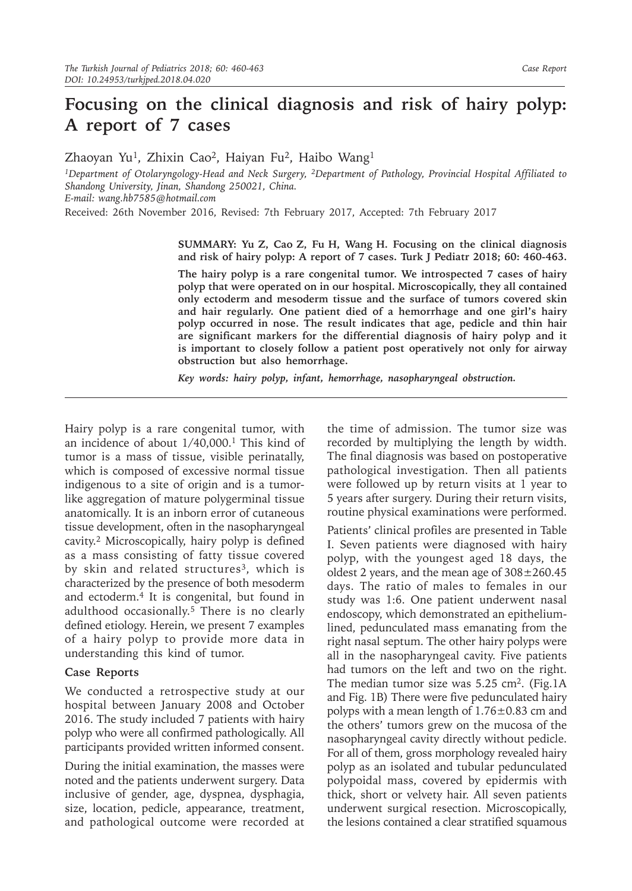# **Focusing on the clinical diagnosis and risk of hairy polyp: A report of 7 cases**

Zhaoyan Yu<sup>1</sup>, Zhixin Cao<sup>2</sup>, Haiyan Fu<sup>2</sup>, Haibo Wang<sup>1</sup>

*1Department of Otolaryngology-Head and Neck Surgery, 2Department of Pathology, Provincial Hospital Affiliated to Shandong University, Jinan, Shandong 250021, China.*

*E-mail: wang.hb7585@hotmail.com*

Received: 26th November 2016, Revised: 7th February 2017, Accepted: 7th February 2017

**SUMMARY: Yu Z, Cao Z, Fu H, Wang H. Focusing on the clinical diagnosis and risk of hairy polyp: A report of 7 cases. Turk J Pediatr 2018; 60: 460-463.**

**The hairy polyp is a rare congenital tumor. We introspected 7 cases of hairy polyp that were operated on in our hospital. Microscopically, they all contained only ectoderm and mesoderm tissue and the surface of tumors covered skin and hair regularly. One patient died of a hemorrhage and one girl's hairy polyp occurred in nose. The result indicates that age, pedicle and thin hair are significant markers for the differential diagnosis of hairy polyp and it is important to closely follow a patient post operatively not only for airway obstruction but also hemorrhage.**

*Key words: hairy polyp, infant, hemorrhage, nasopharyngeal obstruction.*

Hairy polyp is a rare congenital tumor, with an incidence of about 1/40,000.1 This kind of tumor is a mass of tissue, visible perinatally, which is composed of excessive normal tissue indigenous to a site of origin and is a tumorlike aggregation of mature polygerminal tissue anatomically. It is an inborn error of cutaneous tissue development, often in the nasopharyngeal cavity.2 Microscopically, hairy polyp is defined as a mass consisting of fatty tissue covered by skin and related structures<sup>3</sup>, which is characterized by the presence of both mesoderm and ectoderm.4 It is congenital, but found in adulthood occasionally.5 There is no clearly defined etiology. Herein, we present 7 examples of a hairy polyp to provide more data in understanding this kind of tumor.

### **Case Reports**

We conducted a retrospective study at our hospital between January 2008 and October 2016. The study included 7 patients with hairy polyp who were all confirmed pathologically. All participants provided written informed consent.

During the initial examination, the masses were noted and the patients underwent surgery. Data inclusive of gender, age, dyspnea, dysphagia, size, location, pedicle, appearance, treatment, and pathological outcome were recorded at the time of admission. The tumor size was recorded by multiplying the length by width. The final diagnosis was based on postoperative pathological investigation. Then all patients were followed up by return visits at 1 year to 5 years after surgery. During their return visits, routine physical examinations were performed.

Patients' clinical profiles are presented in Table I. Seven patients were diagnosed with hairy polyp, with the youngest aged 18 days, the oldest 2 years, and the mean age of  $308 \pm 260.45$ days. The ratio of males to females in our study was 1:6. One patient underwent nasal endoscopy, which demonstrated an epitheliumlined, pedunculated mass emanating from the right nasal septum. The other hairy polyps were all in the nasopharyngeal cavity. Five patients had tumors on the left and two on the right. The median tumor size was  $5.25 \text{ cm}^2$ . (Fig.1A) and Fig. 1B) There were five pedunculated hairy polyps with a mean length of  $1.76\pm0.83$  cm and the others' tumors grew on the mucosa of the nasopharyngeal cavity directly without pedicle. For all of them, gross morphology revealed hairy polyp as an isolated and tubular pedunculated polypoidal mass, covered by epidermis with thick, short or velvety hair. All seven patients underwent surgical resection. Microscopically, the lesions contained a clear stratified squamous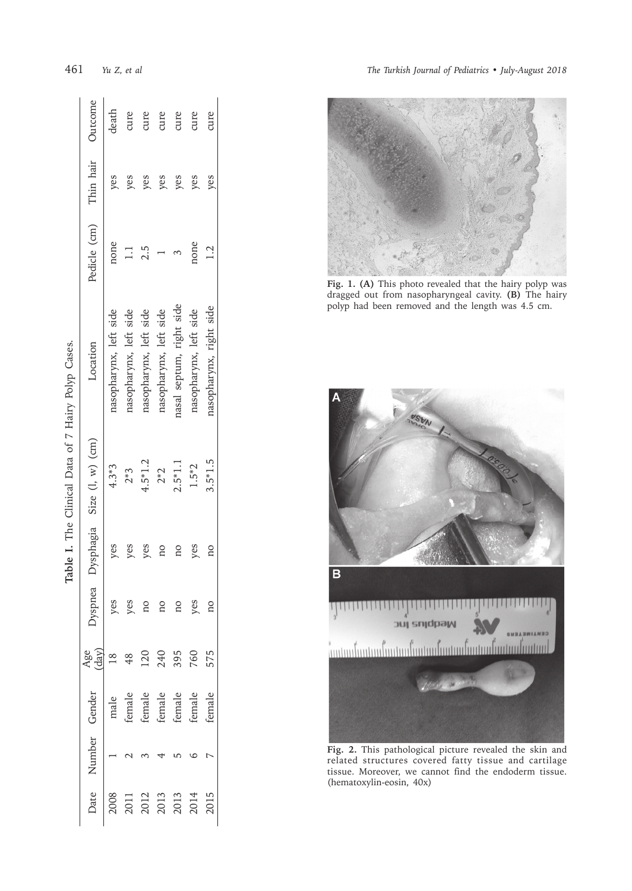| Table I. The Clinical Data of 7 Hairy Polyp Cases. | Outcome                            | death                  | cure                   | cure                   | cure                                           | cure                     | cure                   |                         |
|----------------------------------------------------|------------------------------------|------------------------|------------------------|------------------------|------------------------------------------------|--------------------------|------------------------|-------------------------|
|                                                    | Thin hair                          | yes                    | yes                    | yes                    | yes                                            | yes                      | yes                    | yes                     |
|                                                    | Pedicle (cm)                       | none                   | $\Box$                 | 2.5                    |                                                |                          | none                   | 12                      |
|                                                    | Location                           | nasopharynx, left side | nasopharynx, left side | nasopharynx, left side | nasopharynx, left side                         | lasal septum, right side | nasopharynx, left side | nasopharynx, right side |
|                                                    | lyspnea Dysphagia Size (l, w) (cm) | $4.3*3$                | $2*3$                  | $4.5*1.2$              | $2*2$                                          | $2.5*1.1$                | $1.5*2$                | $3.5*1.5$               |
|                                                    |                                    | yes                    | yes                    | yes                    | ΩO                                             | ΩÓ                       | yes                    | ΩO                      |
|                                                    |                                    | yes                    | yes                    | no                     | no                                             | ΩO                       | yes                    |                         |
|                                                    |                                    |                        |                        | 120                    | 240                                            | 395<br>760               |                        | 575                     |
|                                                    |                                    | male                   |                        |                        | female<br>female<br>female<br>female<br>female |                          |                        | female                  |
|                                                    | Date Number Gender                 |                        |                        |                        |                                                |                          |                        |                         |
|                                                    |                                    | 2008                   |                        |                        | 2011<br>2012<br>2013<br>2013<br>2014           |                          |                        | 2015                    |

461 *Yu*

*Z, et al The Turkish Journal of Pediatrics • July-August 2018*



**Fig. 1. (A)** This photo revealed that the hairy polyp was dragged out from nasopharyngeal cavity. **(B)** The hairy polyp had been removed and the length was 4.5 cm.



**Fig. 2.** This pathological picture revealed the skin and related structures covered fatty tissue and cartilage tissue. Moreover, we cannot find the endoderm tissue. (hematoxylin-eosin, 40x)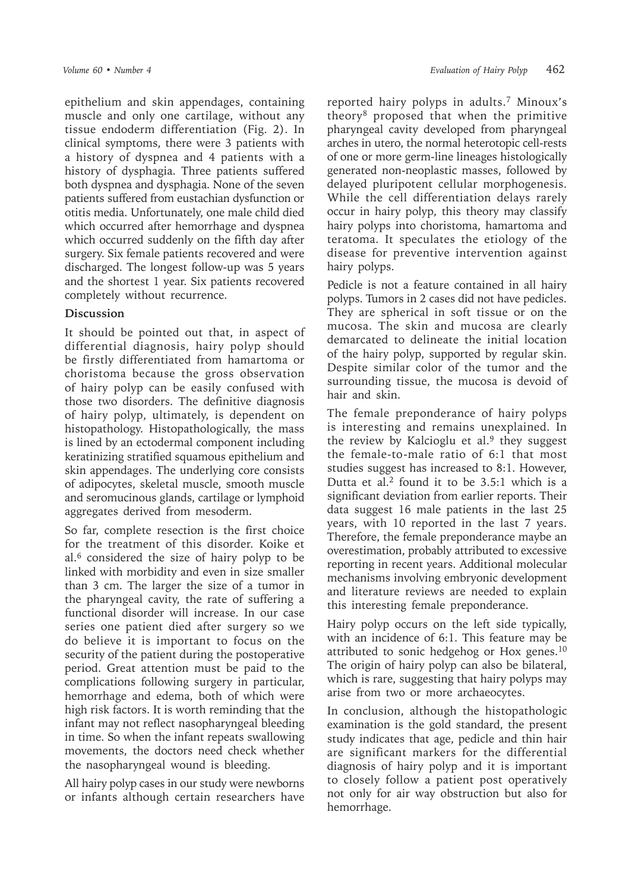epithelium and skin appendages, containing muscle and only one cartilage, without any tissue endoderm differentiation (Fig. 2). In clinical symptoms, there were 3 patients with a history of dyspnea and 4 patients with a history of dysphagia. Three patients suffered both dyspnea and dysphagia. None of the seven patients suffered from eustachian dysfunction or otitis media. Unfortunately, one male child died which occurred after hemorrhage and dyspnea which occurred suddenly on the fifth day after surgery. Six female patients recovered and were discharged. The longest follow-up was 5 years and the shortest 1 year. Six patients recovered completely without recurrence.

## **Discussion**

It should be pointed out that, in aspect of differential diagnosis, hairy polyp should be firstly differentiated from hamartoma or choristoma because the gross observation of hairy polyp can be easily confused with those two disorders. The definitive diagnosis of hairy polyp, ultimately, is dependent on histopathology. Histopathologically, the mass is lined by an ectodermal component including keratinizing stratified squamous epithelium and skin appendages. The underlying core consists of adipocytes, skeletal muscle, smooth muscle and seromucinous glands, cartilage or lymphoid aggregates derived from mesoderm.

So far, complete resection is the first choice for the treatment of this disorder. Koike et al. $6$  considered the size of hairy polyp to be linked with morbidity and even in size smaller than 3 cm. The larger the size of a tumor in the pharyngeal cavity, the rate of suffering a functional disorder will increase. In our case series one patient died after surgery so we do believe it is important to focus on the security of the patient during the postoperative period. Great attention must be paid to the complications following surgery in particular, hemorrhage and edema, both of which were high risk factors. It is worth reminding that the infant may not reflect nasopharyngeal bleeding in time. So when the infant repeats swallowing movements, the doctors need check whether the nasopharyngeal wound is bleeding.

All hairy polyp cases in our study were newborns or infants although certain researchers have

reported hairy polyps in adults.7 Minoux's theory<sup>8</sup> proposed that when the primitive pharyngeal cavity developed from pharyngeal arches in utero, the normal heterotopic cell-rests of one or more germ-line lineages histologically generated non-neoplastic masses, followed by delayed pluripotent cellular morphogenesis. While the cell differentiation delays rarely occur in hairy polyp, this theory may classify hairy polyps into choristoma, hamartoma and teratoma. It speculates the etiology of the disease for preventive intervention against hairy polyps.

Pedicle is not a feature contained in all hairy polyps. Tumors in 2 cases did not have pedicles. They are spherical in soft tissue or on the mucosa. The skin and mucosa are clearly demarcated to delineate the initial location of the hairy polyp, supported by regular skin. Despite similar color of the tumor and the surrounding tissue, the mucosa is devoid of hair and skin.

The female preponderance of hairy polyps is interesting and remains unexplained. In the review by Kalcioglu et al.<sup>9</sup> they suggest the female-to-male ratio of 6:1 that most studies suggest has increased to 8:1. However, Dutta et al.2 found it to be 3.5:1 which is a significant deviation from earlier reports. Their data suggest 16 male patients in the last 25 years, with 10 reported in the last 7 years. Therefore, the female preponderance maybe an overestimation, probably attributed to excessive reporting in recent years. Additional molecular mechanisms involving embryonic development and literature reviews are needed to explain this interesting female preponderance.

Hairy polyp occurs on the left side typically, with an incidence of 6:1. This feature may be attributed to sonic hedgehog or Hox genes.10 The origin of hairy polyp can also be bilateral, which is rare, suggesting that hairy polyps may arise from two or more archaeocytes.

In conclusion, although the histopathologic examination is the gold standard, the present study indicates that age, pedicle and thin hair are significant markers for the differential diagnosis of hairy polyp and it is important to closely follow a patient post operatively not only for air way obstruction but also for hemorrhage.